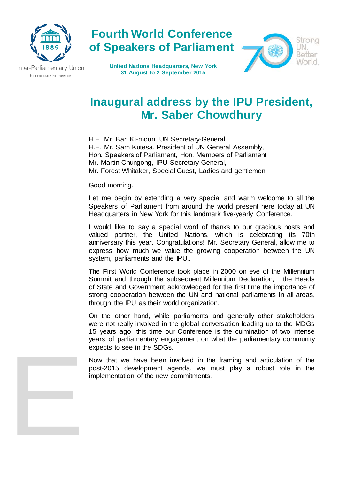

Inter-Parliamentary Union For democracy. For everyone.

E

**United Nations Headquarters, New York 31 August to 2 September 2015**

**Fourth World Conference** 

**of Speakers of Parliament**



## **Inaugural address by the IPU President, Mr. Saber Chowdhury**

H.E. Mr. Ban Ki-moon, UN Secretary-General, H.E. Mr. Sam Kutesa, President of UN General Assembly, Hon. Speakers of Parliament, Hon. Members of Parliament Mr. Martin Chungong, IPU Secretary General, Mr. Forest Whitaker, Special Guest, Ladies and gentlemen

## Good morning.

Let me begin by extending a very special and warm welcome to all the Speakers of Parliament from around the world present here today at UN Headquarters in New York for this landmark five-yearly Conference.

I would like to say a special word of thanks to our gracious hosts and valued partner, the United Nations, which is celebrating its 70th anniversary this year. Congratulations! Mr. Secretary General, allow me to express how much we value the growing cooperation between the UN system, parliaments and the IPU..

The First World Conference took place in 2000 on eve of the Millennium Summit and through the subsequent Millennium Declaration, the Heads of State and Government acknowledged for the first time the importance of strong cooperation between the UN and national parliaments in all areas, through the IPU as their world organization.

On the other hand, while parliaments and generally other stakeholders were not really involved in the global conversation leading up to the MDGs 15 years ago, this time our Conference is the culmination of two intense years of parliamentary engagement on what the parliamentary community expects to see in the SDGs.

Now that we have been involved in the framing and articulation of the post-2015 development agenda, we must play a robust role in the implementation of the new commitments.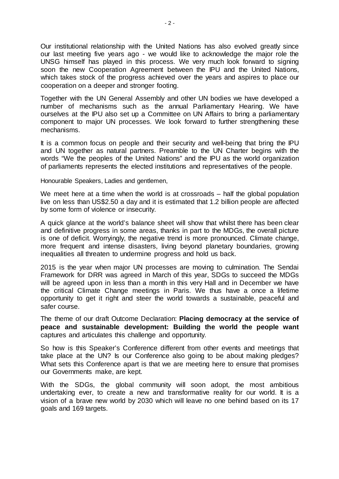Our institutional relationship with the United Nations has also evolved greatly since our last meeting five years ago - we would like to acknowledge the major role the UNSG himself has played in this process. We very much look forward to signing soon the new Cooperation Agreement between the IPU and the United Nations, which takes stock of the progress achieved over the years and aspires to place our cooperation on a deeper and stronger footing.

Together with the UN General Assembly and other UN bodies we have developed a number of mechanisms such as the annual Parliamentary Hearing. We have ourselves at the IPU also set up a Committee on UN Affairs to bring a parliamentary component to major UN processes. We look forward to further strengthening these mechanisms.

It is a common focus on people and their security and well-being that bring the IPU and UN together as natural partners. Preamble to the UN Charter begins with the words "We the peoples of the United Nations" and the IPU as the world organization of parliaments represents the elected institutions and representatives of the people.

Honourable Speakers, Ladies and gentlemen,

We meet here at a time when the world is at crossroads – half the global population live on less than US\$2.50 a day and it is estimated that 1.2 billion people are affected by some form of violence or insecurity.

A quick glance at the world's balance sheet will show that whilst there has been clear and definitive progress in some areas, thanks in part to the MDGs, the overall picture is one of deficit. Worryingly, the negative trend is more pronounced. Climate change, more frequent and intense disasters, living beyond planetary boundaries, growing inequalities all threaten to undermine progress and hold us back.

2015 is the year when major UN processes are moving to culmination. The Sendai Framework for DRR was agreed in March of this year, SDGs to succeed the MDGs will be agreed upon in less than a month in this very Hall and in December we have the critical Climate Change meetings in Paris. We thus have a once a lifetime opportunity to get it right and steer the world towards a sustainable, peaceful and safer course.

The theme of our draft Outcome Declaration: **Placing democracy at the service of peace and sustainable development: Building the world the people want** captures and articulates this challenge and opportunity.

So how is this Speaker's Conference different from other events and meetings that take place at the UN? Is our Conference also going to be about making pledges? What sets this Conference apart is that we are meeting here to ensure that promises our Governments make, are kept.

With the SDGs, the global community will soon adopt, the most ambitious undertaking ever, to create a new and transformative reality for our world. It is a vision of a brave new world by 2030 which will leave no one behind based on its 17 goals and 169 targets.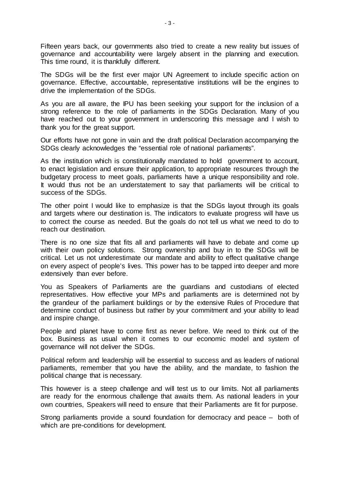Fifteen years back, our governments also tried to create a new reality but issues of governance and accountability were largely absent in the planning and execution. This time round, it is thankfully different.

The SDGs will be the first ever major UN Agreement to include specific action on governance. Effective, accountable, representative institutions will be the engines to drive the implementation of the SDGs.

As you are all aware, the IPU has been seeking your support for the inclusion of a strong reference to the role of parliaments in the SDGs Declaration. Many of you have reached out to your government in underscoring this message and I wish to thank you for the great support.

Our efforts have not gone in vain and the draft political Declaration accompanying the SDGs clearly acknowledges the "essential role of national parliaments".

As the institution which is constitutionally mandated to hold government to account, to enact legislation and ensure their application, to appropriate resources through the budgetary process to meet goals, parliaments have a unique responsibility and role. It would thus not be an understatement to say that parliaments will be critical to success of the SDGs.

The other point I would like to emphasize is that the SDGs layout through its goals and targets where our destination is. The indicators to evaluate progress will have us to correct the course as needed. But the goals do not tell us what we need to do to reach our destination.

There is no one size that fits all and parliaments will have to debate and come up with their own policy solutions. Strong ownership and buy in to the SDGs will be critical. Let us not underestimate our mandate and ability to effect qualitative change on every aspect of people's lives. This power has to be tapped into deeper and more extensively than ever before.

You as Speakers of Parliaments are the guardians and custodians of elected representatives. How effective your MPs and parliaments are is determined not by the grandeur of the parliament buildings or by the extensive Rules of Procedure that determine conduct of business but rather by your commitment and your ability to lead and inspire change.

People and planet have to come first as never before. We need to think out of the box. Business as usual when it comes to our economic model and system of governance will not deliver the SDGs.

Political reform and leadership will be essential to success and as leaders of national parliaments, remember that you have the ability, and the mandate, to fashion the political change that is necessary.

This however is a steep challenge and will test us to our limits. Not all parliaments are ready for the enormous challenge that awaits them. As national leaders in your own countries, Speakers will need to ensure that their Parliaments are fit for purpose.

Strong parliaments provide a sound foundation for democracy and peace – both of which are pre-conditions for development.